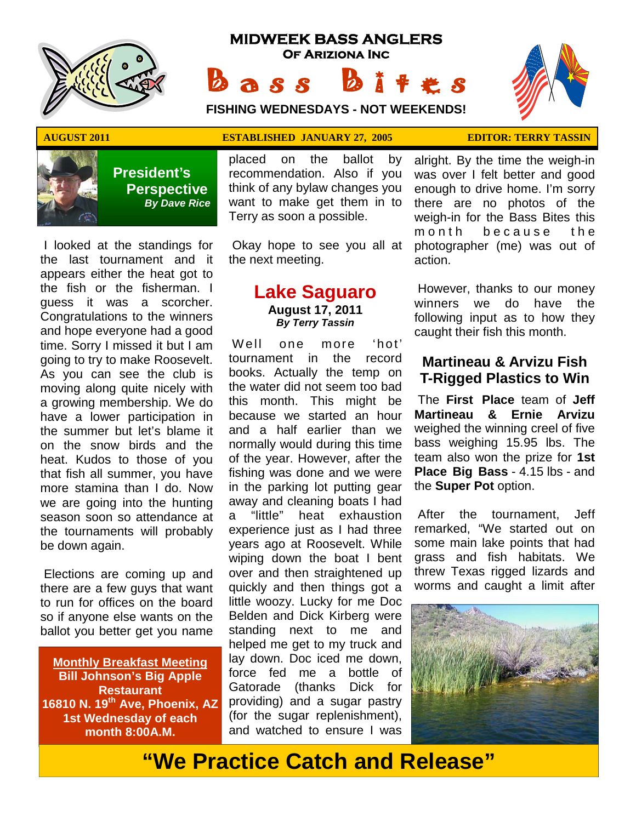

# **MIDWEEK BASS ANGLERS Of Ariziona Inc** Bass Bites

**FISHING WEDNESDAYS - NOT WEEKENDS!**





 **President's Perspective**   *By Dave Rice*

I looked at the standings for the last tournament and it appears either the heat got to the fish or the fisherman. I guess it was a scorcher. Congratulations to the winners and hope everyone had a good time. Sorry I missed it but I am going to try to make Roosevelt. As you can see the club is moving along quite nicely with a growing membership. We do have a lower participation in the summer but let's blame it on the snow birds and the heat. Kudos to those of you that fish all summer, you have more stamina than I do. Now we are going into the hunting season soon so attendance at the tournaments will probably be down again.

 Elections are coming up and there are a few guys that want to run for offices on the board so if anyone else wants on the ballot you better get you name

**Monthly Breakfast Meeting Bill Johnson's Big Apple Restaurant 16810 N. 19th Ave, Phoenix, AZ 1st Wednesday of each month 8:00A.M.** 

## **AUGUST 2011 ESTABLISHED JANUARY 27, 2005 EDITOR: TERRY TASSIN**

placed on the ballot by recommendation. Also if you think of any bylaw changes you want to make get them in to Terry as soon a possible.

 Okay hope to see you all at the next meeting.

## **Lake Saguaro August 17, 2011**  *By Terry Tassin*

W ell one more 'hot' tournament in the record books. Actually the temp on the water did not seem too bad this month. This might be because we started an hour and a half earlier than we normally would during this time of the year. However, after the fishing was done and we were in the parking lot putting gear away and cleaning boats I had a "little" heat exhaustion experience just as I had three years ago at Roosevelt. While wiping down the boat I bent over and then straightened up quickly and then things got a little woozy. Lucky for me Doc Belden and Dick Kirberg were standing next to me and helped me get to my truck and lay down. Doc iced me down, force fed me a bottle of Gatorade (thanks Dick for providing) and a sugar pastry (for the sugar replenishment), and watched to ensure I was

alright. By the time the weigh-in was over I felt better and good enough to drive home. I'm sorry there are no photos of the weigh-in for the Bass Bites this m on th be cause the photographer (me) was out of action.

 However, thanks to our money winners we do have the following input as to how they caught their fish this month.

## **Martineau & Arvizu Fish T-Rigged Plastics to Win**

 The **First Place** team of **Jeff Martineau & Ernie Arvizu**  weighed the winning creel of five bass weighing 15.95 lbs. The team also won the prize for **1st Place Big Bass** - 4.15 lbs - and the **Super Pot** option.

 After the tournament, Jeff remarked, "We started out on some main lake points that had grass and fish habitats. We threw Texas rigged lizards and worms and caught a limit after



# **"We Practice Catch and Release"**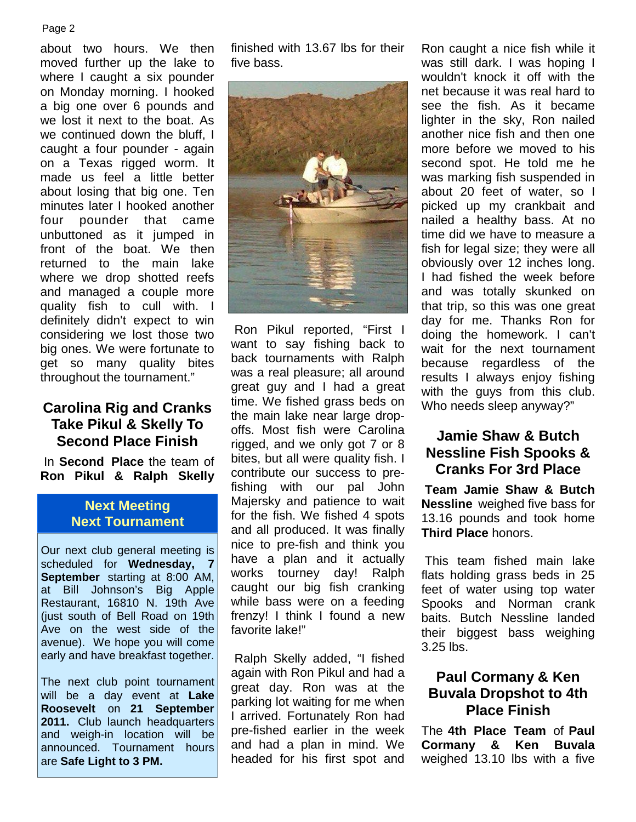### Page 2

about two hours. We then moved further up the lake to where I caught a six pounder on Monday morning. I hooked a big one over 6 pounds and we lost it next to the boat. As we continued down the bluff. I caught a four pounder - again on a Texas rigged worm. It made us feel a little better about losing that big one. Ten minutes later I hooked another four pounder that came unbuttoned as it jumped in front of the boat. We then returned to the main lake where we drop shotted reefs and managed a couple more quality fish to cull with. I definitely didn't expect to win considering we lost those two big ones. We were fortunate to get so many quality bites throughout the tournament."

## **Carolina Rig and Cranks Take Pikul & Skelly To Second Place Finish**

 In **Second Place** the team of **Ron Pikul & Ralph Skelly** 

## **Next Meeting Next Tournament**

Our next club general meeting is scheduled for **Wednesday, 7 September** starting at 8:00 AM, at Bill Johnson's Big Apple Restaurant, 16810 N. 19th Ave (just south of Bell Road on 19th Ave on the west side of the avenue). We hope you will come early and have breakfast together.

The next club point tournament will be a day event at **Lake Roosevelt** on **21 September 2011.** Club launch headquarters and weigh-in location will be announced. Tournament hours are **Safe Light to 3 PM.**

finished with 13.67 lbs for their five bass.



 Ron Pikul reported, "First I want to say fishing back to back tournaments with Ralph was a real pleasure; all around great guy and I had a great time. We fished grass beds on the main lake near large dropoffs. Most fish were Carolina rigged, and we only got 7 or 8 bites, but all were quality fish. I contribute our success to prefishing with our pal John Majersky and patience to wait for the fish. We fished 4 spots and all produced. It was finally nice to pre-fish and think you have a plan and it actually works tourney day! Ralph caught our big fish cranking while bass were on a feeding frenzy! I think I found a new favorite lake!"

 Ralph Skelly added, "I fished again with Ron Pikul and had a great day. Ron was at the parking lot waiting for me when I arrived. Fortunately Ron had pre-fished earlier in the week and had a plan in mind. We headed for his first spot and Ron caught a nice fish while it was still dark. I was hoping I wouldn't knock it off with the net because it was real hard to see the fish. As it became lighter in the sky, Ron nailed another nice fish and then one more before we moved to his second spot. He told me he was marking fish suspended in about 20 feet of water, so I picked up my crankbait and nailed a healthy bass. At no time did we have to measure a fish for legal size; they were all obviously over 12 inches long. I had fished the week before and was totally skunked on that trip, so this was one great day for me. Thanks Ron for doing the homework. I can't wait for the next tournament because regardless of the results I always enjoy fishing with the guys from this club. Who needs sleep anyway?"

## **Jamie Shaw & Butch Nessline Fish Spooks & Cranks For 3rd Place**

**Team Jamie Shaw & Butch Nessline** weighed five bass for 13.16 pounds and took home **Third Place** honors.

 This team fished main lake flats holding grass beds in 25 feet of water using top water Spooks and Norman crank baits. Butch Nessline landed their biggest bass weighing 3.25 lbs.

## **Paul Cormany & Ken Buvala Dropshot to 4th Place Finish**

The **4th Place Team** of **Paul Cormany & Ken Buvala**  weighed 13.10 lbs with a five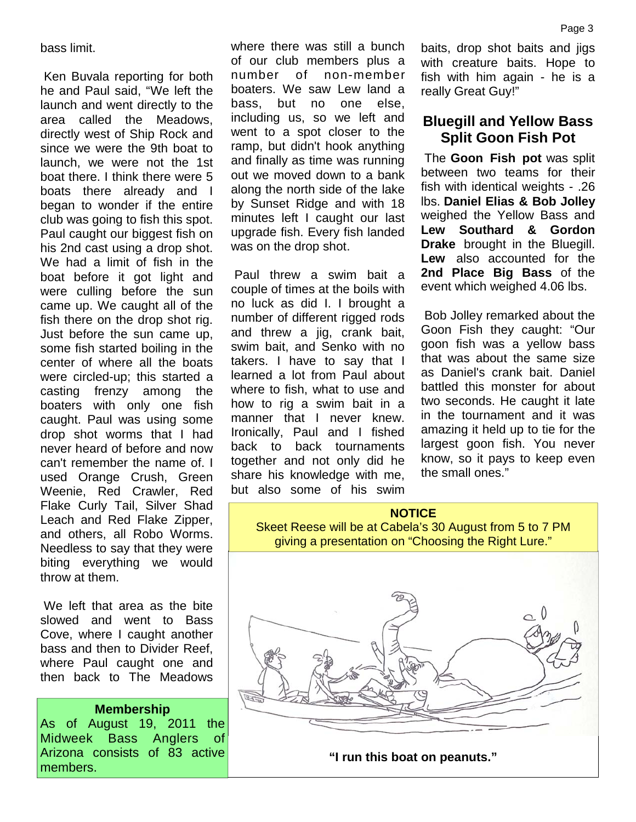bass limit.

 Ken Buvala reporting for both he and Paul said, "We left the launch and went directly to the area called the Meadows, directly west of Ship Rock and since we were the 9th boat to launch, we were not the 1st boat there. I think there were 5 boats there already and I began to wonder if the entire club was going to fish this spot. Paul caught our biggest fish on his 2nd cast using a drop shot. We had a limit of fish in the boat before it got light and were culling before the sun came up. We caught all of the fish there on the drop shot rig. Just before the sun came up, some fish started boiling in the center of where all the boats were circled-up; this started a casting frenzy among the boaters with only one fish caught. Paul was using some drop shot worms that I had never heard of before and now can't remember the name of. I used Orange Crush, Green Weenie, Red Crawler, Red Flake Curly Tail, Silver Shad Leach and Red Flake Zipper, and others, all Robo Worms. Needless to say that they were biting everything we would throw at them.

 We left that area as the bite slowed and went to Bass Cove, where I caught another bass and then to Divider Reef, where Paul caught one and then back to The Meadows

#### **Membership**

As of August 19, 2011 the Midweek Bass Anglers of Arizona consists of 83 active members.

where there was still a bunch of our club members plus a number of non-member boaters. We saw Lew land a bass, but no one else, including us, so we left and went to a spot closer to the ramp, but didn't hook anything and finally as time was running out we moved down to a bank along the north side of the lake by Sunset Ridge and with 18 minutes left I caught our last upgrade fish. Every fish landed was on the drop shot.

 Paul threw a swim bait a couple of times at the boils with no luck as did I. I brought a number of different rigged rods and threw a jig, crank bait, swim bait, and Senko with no takers. I have to say that I learned a lot from Paul about where to fish, what to use and how to rig a swim bait in a manner that I never knew. Ironically, Paul and I fished back to back tournaments together and not only did he share his knowledge with me, but also some of his swim baits, drop shot baits and jigs with creature baits. Hope to fish with him again - he is a really Great Guy!"

## **Bluegill and Yellow Bass Split Goon Fish Pot**

 The **Goon Fish pot** was split between two teams for their fish with identical weights - .26 lbs. **Daniel Elias & Bob Jolley**  weighed the Yellow Bass and **Lew Southard & Gordon Drake** brought in the Bluegill. **Lew** also accounted for the **2nd Place Big Bass** of the event which weighed 4.06 lbs.

 Bob Jolley remarked about the Goon Fish they caught: "Our goon fish was a yellow bass that was about the same size as Daniel's crank bait. Daniel battled this monster for about two seconds. He caught it late in the tournament and it was amazing it held up to tie for the largest goon fish. You never know, so it pays to keep even the small ones."

#### **NOTICE**

Skeet Reese will be at Cabela's 30 August from 5 to 7 PM giving a presentation on "Choosing the Right Lure."



**"I run this boat on peanuts."**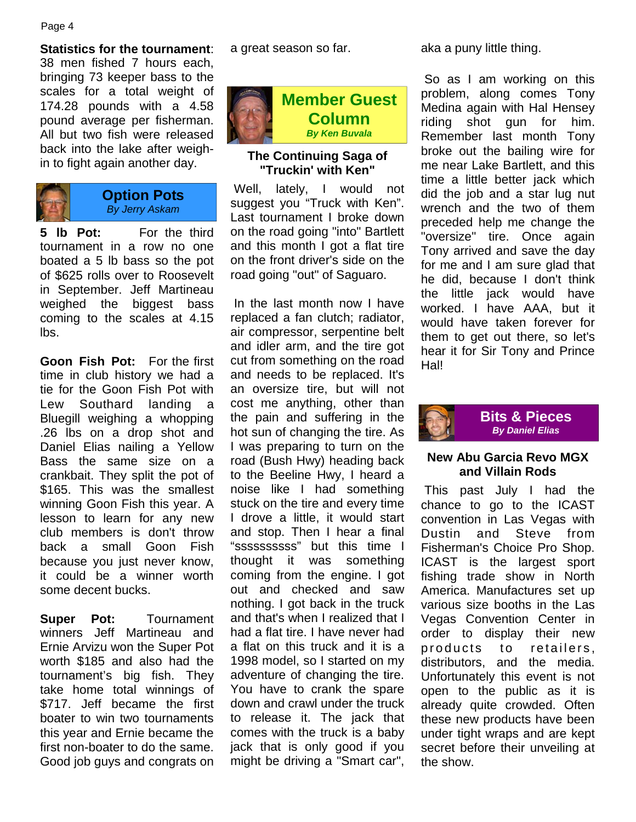**Statistics for the tournament**: 38 men fished 7 hours each, bringing 73 keeper bass to the scales for a total weight of 174.28 pounds with a 4.58 pound average per fisherman. All but two fish were released back into the lake after weighin to fight again another day.



### **Option Pots**  *By Jerry Askam*

**5 lb Pot:** For the third tournament in a row no one boated a 5 lb bass so the pot of \$625 rolls over to Roosevelt in September. Jeff Martineau weighed the biggest bass coming to the scales at 4.15 lbs.

**Goon Fish Pot:** For the first time in club history we had a tie for the Goon Fish Pot with Lew Southard landing a Bluegill weighing a whopping .26 lbs on a drop shot and Daniel Elias nailing a Yellow Bass the same size on a crankbait. They split the pot of \$165. This was the smallest winning Goon Fish this year. A lesson to learn for any new club members is don't throw back a small Goon Fish because you just never know, it could be a winner worth some decent bucks.

**Super Pot:** Tournament winners Jeff Martineau and Ernie Arvizu won the Super Pot worth \$185 and also had the tournament's big fish. They take home total winnings of \$717. Jeff became the first boater to win two tournaments this year and Ernie became the first non-boater to do the same. Good job guys and congrats on a great season so far.



## **The Continuing Saga of "Truckin' with Ken"**

Well, lately, I would not suggest you "Truck with Ken". Last tournament I broke down on the road going "into" Bartlett and this month I got a flat tire on the front driver's side on the road going "out" of Saguaro.

 In the last month now I have replaced a fan clutch; radiator, air compressor, serpentine belt and idler arm, and the tire got cut from something on the road and needs to be replaced. It's an oversize tire, but will not cost me anything, other than the pain and suffering in the hot sun of changing the tire. As I was preparing to turn on the road (Bush Hwy) heading back to the Beeline Hwy, I heard a noise like I had something stuck on the tire and every time I drove a little, it would start and stop. Then I hear a final "ssssssssss" but this time I thought it was something coming from the engine. I got out and checked and saw nothing. I got back in the truck and that's when I realized that I had a flat tire. I have never had a flat on this truck and it is a 1998 model, so I started on my adventure of changing the tire. You have to crank the spare down and crawl under the truck to release it. The jack that comes with the truck is a baby jack that is only good if you might be driving a "Smart car", aka a puny little thing.

 So as I am working on this problem, along comes Tony Medina again with Hal Hensey riding shot gun for him. Remember last month Tony broke out the bailing wire for me near Lake Bartlett, and this time a little better jack which did the job and a star lug nut wrench and the two of them preceded help me change the "oversize" tire. Once again Tony arrived and save the day for me and I am sure glad that he did, because I don't think the little jack would have worked. I have AAA, but it would have taken forever for them to get out there, so let's hear it for Sir Tony and Prince Hal!



## **New Abu Garcia Revo MGX and Villain Rods**

 This past July I had the chance to go to the ICAST convention in Las Vegas with Dustin and Steve from Fisherman's Choice Pro Shop. ICAST is the largest sport fishing trade show in North America. Manufactures set up various size booths in the Las Vegas Convention Center in order to display their new products to retailers, distributors, and the media. Unfortunately this event is not open to the public as it is already quite crowded. Often these new products have been under tight wraps and are kept secret before their unveiling at the show.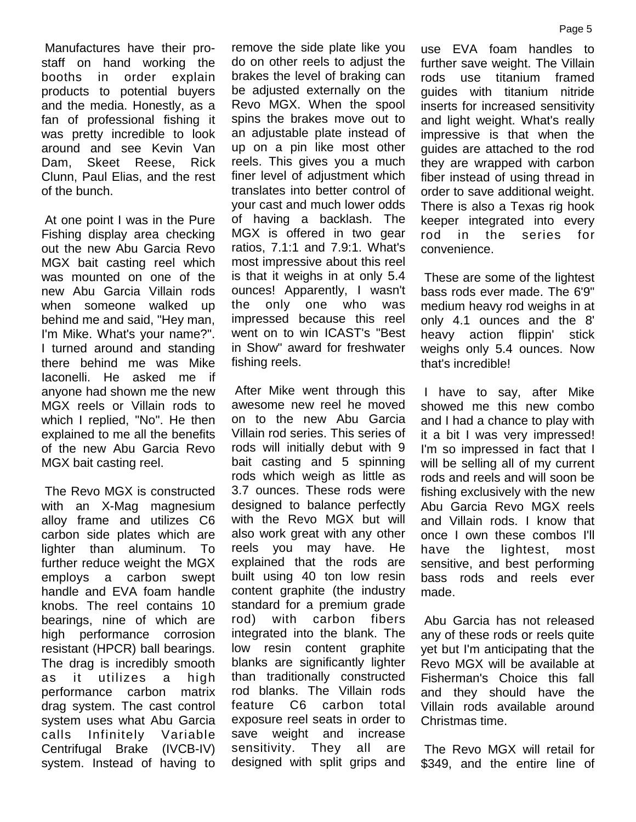Manufactures have their prostaff on hand working the booths in order explain products to potential buyers and the media. Honestly, as a fan of professional fishing it was pretty incredible to look around and see Kevin Van Dam, Skeet Reese, Rick Clunn, Paul Elias, and the rest of the bunch.

 At one point I was in the Pure Fishing display area checking out the new Abu Garcia Revo MGX bait casting reel which was mounted on one of the new Abu Garcia Villain rods when someone walked up behind me and said, "Hey man, I'm Mike. What's your name?". I turned around and standing there behind me was Mike Iaconelli. He asked me if anyone had shown me the new MGX reels or Villain rods to which I replied, "No". He then explained to me all the benefits of the new Abu Garcia Revo MGX bait casting reel.

 The Revo MGX is constructed with an X-Mag magnesium alloy frame and utilizes C6 carbon side plates which are lighter than aluminum. To further reduce weight the MGX employs a carbon swept handle and EVA foam handle knobs. The reel contains 10 bearings, nine of which are high performance corrosion resistant (HPCR) ball bearings. The drag is incredibly smooth as it utilizes a high performance carbon matrix drag system. The cast control system uses what Abu Garcia calls Infinitely Variable Centrifugal Brake (IVCB-IV) system. Instead of having to remove the side plate like you do on other reels to adjust the brakes the level of braking can be adjusted externally on the Revo MGX. When the spool spins the brakes move out to an adjustable plate instead of up on a pin like most other reels. This gives you a much finer level of adjustment which translates into better control of your cast and much lower odds of having a backlash. The MGX is offered in two gear ratios, 7.1:1 and 7.9:1. What's most impressive about this reel is that it weighs in at only 5.4 ounces! Apparently, I wasn't the only one who was impressed because this reel went on to win ICAST's "Best in Show" award for freshwater fishing reels.

 After Mike went through this awesome new reel he moved on to the new Abu Garcia Villain rod series. This series of rods will initially debut with 9 bait casting and 5 spinning rods which weigh as little as 3.7 ounces. These rods were designed to balance perfectly with the Revo MGX but will also work great with any other reels you may have. He explained that the rods are built using 40 ton low resin content graphite (the industry standard for a premium grade rod) with carbon fibers integrated into the blank. The low resin content graphite blanks are significantly lighter than traditionally constructed rod blanks. The Villain rods feature C6 carbon total exposure reel seats in order to save weight and increase sensitivity. They all are designed with split grips and

use EVA foam handles to further save weight. The Villain rods use titanium framed guides with titanium nitride inserts for increased sensitivity and light weight. What's really impressive is that when the guides are attached to the rod they are wrapped with carbon fiber instead of using thread in order to save additional weight. There is also a Texas rig hook keeper integrated into every rod in the series for convenience.

 These are some of the lightest bass rods ever made. The 6'9" medium heavy rod weighs in at only 4.1 ounces and the 8' heavy action flippin' stick weighs only 5.4 ounces. Now that's incredible!

 I have to say, after Mike showed me this new combo and I had a chance to play with it a bit I was very impressed! I'm so impressed in fact that I will be selling all of my current rods and reels and will soon be fishing exclusively with the new Abu Garcia Revo MGX reels and Villain rods. I know that once I own these combos I'll have the lightest, most sensitive, and best performing bass rods and reels ever made.

 Abu Garcia has not released any of these rods or reels quite yet but I'm anticipating that the Revo MGX will be available at Fisherman's Choice this fall and they should have the Villain rods available around Christmas time.

 The Revo MGX will retail for \$349, and the entire line of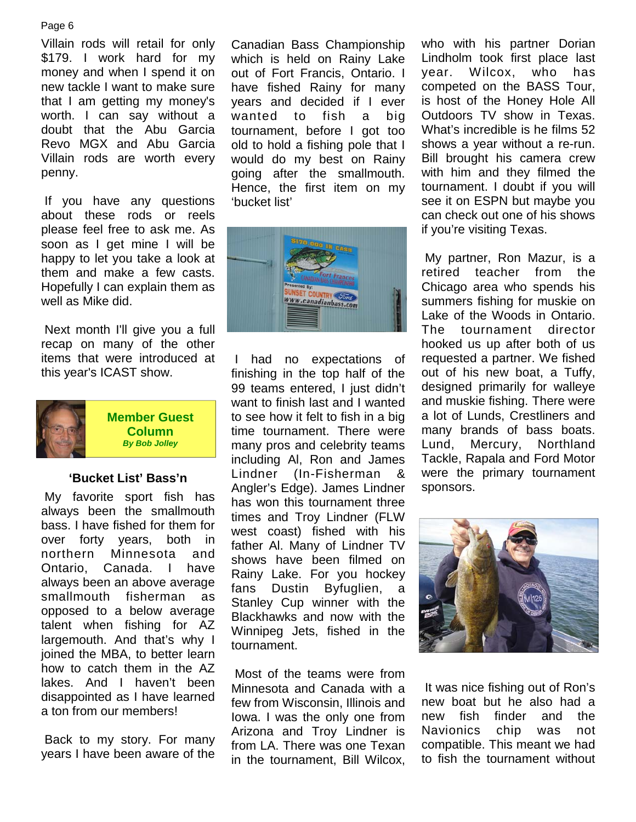#### Page 6

Villain rods will retail for only \$179. I work hard for my money and when I spend it on new tackle I want to make sure that I am getting my money's worth. I can say without a doubt that the Abu Garcia Revo MGX and Abu Garcia Villain rods are worth every penny.

 If you have any questions about these rods or reels please feel free to ask me. As soon as I get mine I will be happy to let you take a look at them and make a few casts. Hopefully I can explain them as well as Mike did.

 Next month I'll give you a full recap on many of the other items that were introduced at this year's ICAST show.



**Member Guest Column**  *By Bob Jolley* 

## **'Bucket List' Bass'n**

 My favorite sport fish has always been the smallmouth bass. I have fished for them for over forty years, both in northern Minnesota and Ontario, Canada. I have always been an above average smallmouth fisherman as opposed to a below average talent when fishing for AZ largemouth. And that's why I joined the MBA, to better learn how to catch them in the AZ lakes. And I haven't been disappointed as I have learned a ton from our members!

 Back to my story. For many years I have been aware of the Canadian Bass Championship which is held on Rainy Lake out of Fort Francis, Ontario. I have fished Rainy for many years and decided if I ever wanted to fish a big tournament, before I got too old to hold a fishing pole that I would do my best on Rainy going after the smallmouth. Hence, the first item on my 'bucket list'



 I had no expectations of finishing in the top half of the 99 teams entered, I just didn't want to finish last and I wanted to see how it felt to fish in a big time tournament. There were many pros and celebrity teams including Al, Ron and James Lindner (In-Fisherman & Angler's Edge). James Lindner has won this tournament three times and Troy Lindner (FLW west coast) fished with his father Al. Many of Lindner TV shows have been filmed on Rainy Lake. For you hockey fans Dustin Byfuglien, a Stanley Cup winner with the Blackhawks and now with the Winnipeg Jets, fished in the tournament.

 Most of the teams were from Minnesota and Canada with a few from Wisconsin, Illinois and Iowa. I was the only one from Arizona and Troy Lindner is from LA. There was one Texan in the tournament, Bill Wilcox,

who with his partner Dorian Lindholm took first place last year. Wilcox, who has competed on the BASS Tour, is host of the Honey Hole All Outdoors TV show in Texas. What's incredible is he films 52 shows a year without a re-run. Bill brought his camera crew with him and they filmed the tournament. I doubt if you will see it on ESPN but maybe you can check out one of his shows if you're visiting Texas.

 My partner, Ron Mazur, is a retired teacher from the Chicago area who spends his summers fishing for muskie on Lake of the Woods in Ontario. The tournament director hooked us up after both of us requested a partner. We fished out of his new boat, a Tuffy, designed primarily for walleye and muskie fishing. There were a lot of Lunds, Crestliners and many brands of bass boats. Lund, Mercury, Northland Tackle, Rapala and Ford Motor were the primary tournament sponsors.



 It was nice fishing out of Ron's new boat but he also had a new fish finder and the Navionics chip was not compatible. This meant we had to fish the tournament without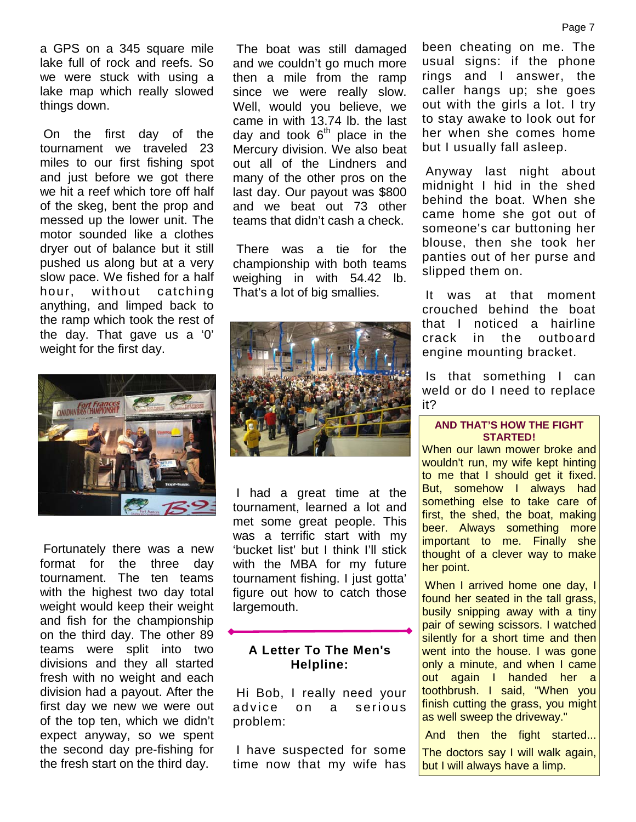a GPS on a 345 square mile lake full of rock and reefs. So we were stuck with using a lake map which really slowed things down.

 On the first day of the tournament we traveled 23 miles to our first fishing spot and just before we got there we hit a reef which tore off half of the skeg, bent the prop and messed up the lower unit. The motor sounded like a clothes dryer out of balance but it still pushed us along but at a very slow pace. We fished for a half hour, without catching anything, and limped back to the ramp which took the rest of the day. That gave us a '0' weight for the first day.



 Fortunately there was a new format for the three day tournament. The ten teams with the highest two day total weight would keep their weight and fish for the championship on the third day. The other 89 teams were split into two divisions and they all started fresh with no weight and each division had a payout. After the first day we new we were out of the top ten, which we didn't expect anyway, so we spent the second day pre-fishing for the fresh start on the third day.

 The boat was still damaged and we couldn't go much more then a mile from the ramp since we were really slow. Well, would you believe, we came in with 13.74 lb. the last day and took  $6<sup>th</sup>$  place in the Mercury division. We also beat out all of the Lindners and many of the other pros on the last day. Our payout was \$800 and we beat out 73 other teams that didn't cash a check.

 There was a tie for the championship with both teams weighing in with 54.42 lb. That's a lot of big smallies.



 I had a great time at the tournament, learned a lot and met some great people. This was a terrific start with my 'bucket list' but I think I'll stick with the MBA for my future tournament fishing. I just gotta' figure out how to catch those largemouth.

## **A Letter To The Men's Helpline:**

 Hi Bob, I really need your advice on a serious problem:

 I have suspected for some time now that my wife has been cheating on me. The usual signs: if the phone rings and I answer, the caller hangs up; she goes out with the girls a lot. I try to stay awake to look out for her when she comes home but I usually fall asleep.

 Anyway last night about midnight I hid in the shed behind the boat. When she came home she got out of someone's car buttoning her blouse, then she took her panties out of her purse and slipped them on.

 It was at that moment crouched behind the boat that I noticed a hairline crack in the outboard engine mounting bracket.

 Is that something I can weld or do I need to replace it?

#### **AND THAT'S HOW THE FIGHT STARTED!**

When our lawn mower broke and wouldn't run, my wife kept hinting to me that I should get it fixed. But, somehow I always had something else to take care of first, the shed, the boat, making beer. Always something more important to me. Finally she thought of a clever way to make her point.

When I arrived home one day, I found her seated in the tall grass, busily snipping away with a tiny pair of sewing scissors. I watched silently for a short time and then went into the house. I was gone only a minute, and when I came out again I handed her a toothbrush. I said, "When you finish cutting the grass, you might as well sweep the driveway."

And then the fight started...

The doctors say I will walk again, but I will always have a limp.